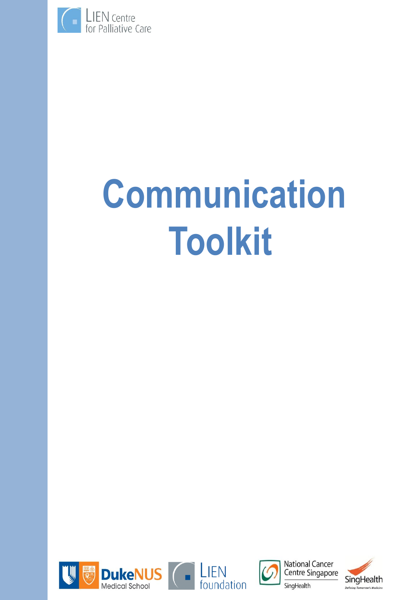

# **Communication Toolkit**







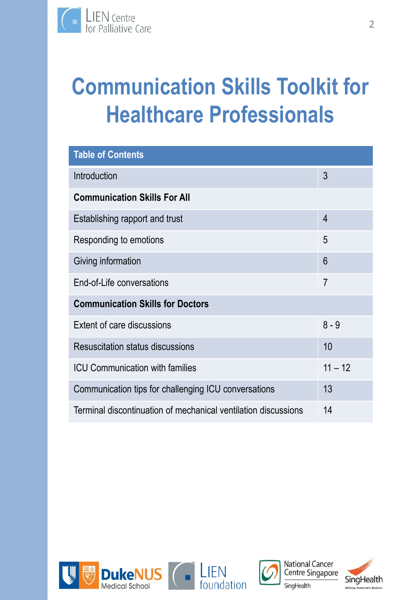# **Communication Skills Toolkit for Healthcare Professionals**

| <b>Table of Contents</b>                                       |                 |  |
|----------------------------------------------------------------|-----------------|--|
| Introduction                                                   | 3               |  |
| <b>Communication Skills For All</b>                            |                 |  |
| Establishing rapport and trust                                 | $\overline{4}$  |  |
| Responding to emotions                                         | 5               |  |
| Giving information                                             | $6\phantom{1}6$ |  |
| End-of-Life conversations                                      | $\overline{7}$  |  |
| <b>Communication Skills for Doctors</b>                        |                 |  |
| <b>Extent of care discussions</b>                              | $8 - 9$         |  |
| Resuscitation status discussions                               | 10              |  |
| <b>ICU Communication with families</b>                         | $11 - 12$       |  |
| Communication tips for challenging ICU conversations           | 13              |  |
| Terminal discontinuation of mechanical ventilation discussions | 14              |  |







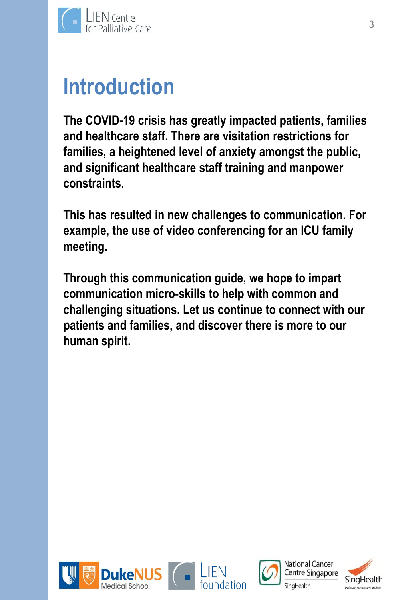

# **Introduction**

**The COVID-19 crisis has greatly impacted patients, families and healthcare staff. There are visitation restrictions for families, a heightened level of anxiety amongst the public, and significant healthcare staff training and manpower constraints.**

**This has resulted in new challenges to communication. For example, the use of video conferencing for an ICU family meeting.**

**Through this communication guide, we hope to impart communication micro-skills to help with common and challenging situations. Let us continue to connect with our patients and families, and discover there is more to our human spirit.**







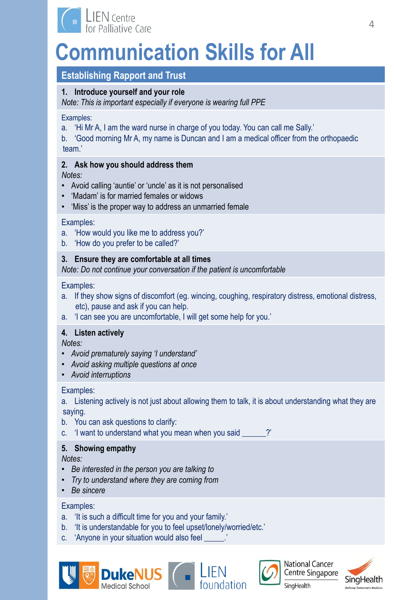

# **Establishing Rapport and Trust**

# **1. Introduce yourself and your role**

*Note: This is important especially if everyone is wearing full PPE*

Examples:

a. 'Hi Mr A, I am the ward nurse in charge of you today. You can call me Sally.'

b. 'Good morning Mr A, my name is Duncan and I am a medical officer from the orthopaedic team.'

# **2. Ask how you should address them**

*Notes:*

- Avoid calling 'auntie' or 'uncle' as it is not personalised
- 'Madam' is for married females or widows
- 'Miss' is the proper way to address an unmarried female

Examples:

- a. 'How would you like me to address you?'
- b. 'How do you prefer to be called?'

# **3. Ensure they are comfortable at all times**

*Note: Do not continue your conversation if the patient is uncomfortable*

Examples:

- a. If they show signs of discomfort (eg. wincing, coughing, respiratory distress, emotional distress, etc), pause and ask if you can help.
- a. 'I can see you are uncomfortable, I will get some help for you.'

# **4. Listen actively**

*Notes:*

- *Avoid prematurely saying 'I understand'*
- *Avoid asking multiple questions at once*
- *Avoid interruptions*

# Examples:

a. Listening actively is not just about allowing them to talk, it is about understanding what they are saying.

EIEN<br>Foundation

- b. You can ask questions to clarify:
- c. 'I want to understand what you mean when you said \_\_\_\_\_\_?'

# **5. Showing empathy**

*Notes:*

- *Be interested in the person you are talking to*
- *Try to understand where they are coming from*
- *Be sincere*

- a. 'It is such a difficult time for you and your family.'
- b. 'It is understandable for you to feel upset/lonely/worried/etc.'
- c. 'Anyone in your situation would also feel \_\_\_\_\_.'





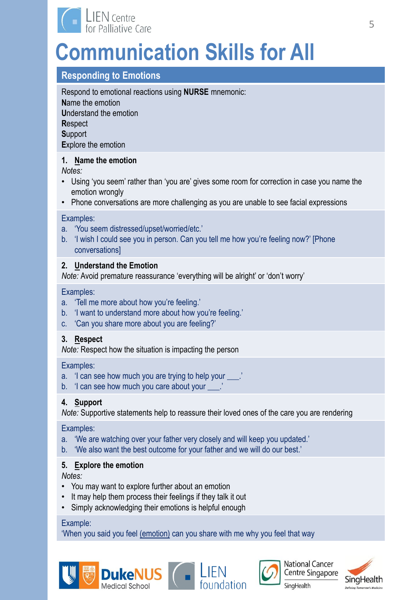

# **Responding to Emotions**

Respond to emotional reactions using **NURSE** mnemonic: **N**ame the emotion **U**nderstand the emotion **R**espect **S**upport **E**xplore the emotion

### **1. Name the emotion**

*Notes:*

- Using 'you seem' rather than 'you are' gives some room for correction in case you name the emotion wrongly
- Phone conversations are more challenging as you are unable to see facial expressions

#### Examples:

- a. 'You seem distressed/upset/worried/etc.'
- b. 'I wish I could see you in person. Can you tell me how you're feeling now?' [Phone conversations]

### **2. Understand the Emotion**

*Note:* Avoid premature reassurance 'everything will be alright' or 'don't worry'

#### Examples:

- a. 'Tell me more about how you're feeling.'
- b. 'I want to understand more about how you're feeling.'
- c. 'Can you share more about you are feeling?'

#### **3. Respect**

*Note:* Respect how the situation is impacting the person

Examples:

- a. 'I can see how much you are trying to help your \_\_\_.'
- b. 'I can see how much you care about your \_\_\_.'

# **4. Support**

*Note:* Supportive statements help to reassure their loved ones of the care you are rendering

Examples:

- a. 'We are watching over your father very closely and will keep you updated.'
- b. 'We also want the best outcome for your father and we will do our best.'

# **5. Explore the emotion**

*Notes:*

- You may want to explore further about an emotion
- It may help them process their feelings if they talk it out
- Simply acknowledging their emotions is helpful enough

#### Example:

'When you said you feel (emotion) can you share with me why you feel that way

**DukeNUS** LIEN





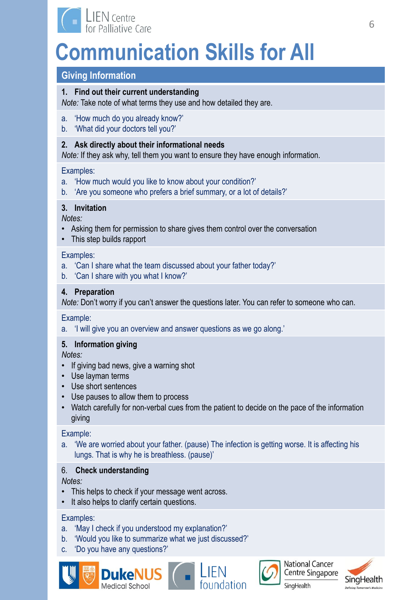

# **Giving Information**

### **1. Find out their current understanding**

*Note:* Take note of what terms they use and how detailed they are.

- a. 'How much do you already know?'
- b. 'What did your doctors tell you?'

### **2. Ask directly about their informational needs**

*Note:* If they ask why, tell them you want to ensure they have enough information.

#### Examples:

- a. 'How much would you like to know about your condition?'
- b. 'Are you someone who prefers a brief summary, or a lot of details?'

### **3. Invitation**

*Notes:*

- Asking them for permission to share gives them control over the conversation
- This step builds rapport

#### Examples:

- a. 'Can I share what the team discussed about your father today?'
- b. 'Can I share with you what I know?'

### **4. Preparation**

*Note:* Don't worry if you can't answer the questions later. You can refer to someone who can.

#### Example:

a. 'I will give you an overview and answer questions as we go along.'

# **5. Information giving**

*Notes:*

- If giving bad news, give a warning shot
- Use layman terms
- Use short sentences
- Use pauses to allow them to process
- Watch carefully for non-verbal cues from the patient to decide on the pace of the information giving

#### Example:

a. 'We are worried about your father. (pause) The infection is getting worse. It is affecting his lungs. That is why he is breathless. (pause)'

# 6. **Check understanding**

*Notes:*

- This helps to check if your message went across.
- It also helps to clarify certain questions.

- a. 'May I check if you understood my explanation?'
- b. 'Would you like to summarize what we just discussed?'
- c. 'Do you have any questions?'











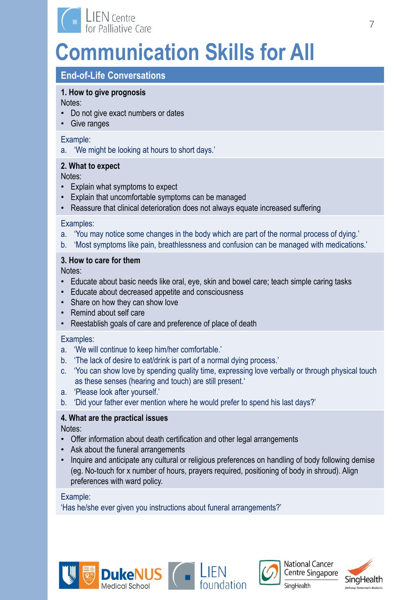

# **End-of-Life Conversations**

# **1. How to give prognosis**

Notes:

- Do not give exact numbers or dates
- Give ranges

#### Example:

a. 'We might be looking at hours to short days.'

# **2. What to expect**

Notes:

- Explain what symptoms to expect
- Explain that uncomfortable symptoms can be managed
- Reassure that clinical deterioration does not always equate increased suffering

# Examples:

- a. 'You may notice some changes in the body which are part of the normal process of dying.'
- b. 'Most symptoms like pain, breathlessness and confusion can be managed with medications.'

# **3. How to care for them**

Notes:

- Educate about basic needs like oral, eye, skin and bowel care; teach simple caring tasks
- Educate about decreased appetite and consciousness
- Share on how they can show love
- Remind about self care
- Reestablish goals of care and preference of place of death

# Examples:

- a. 'We will continue to keep him/her comfortable.'
- b. 'The lack of desire to eat/drink is part of a normal dying process.'
- c. 'You can show love by spending quality time, expressing love verbally or through physical touch as these senses (hearing and touch) are still present.'
- a. 'Please look after yourself.'
- b. 'Did your father ever mention where he would prefer to spend his last days?'

# **4. What are the practical issues**

Notes:

- Offer information about death certification and other legal arrangements
- Ask about the funeral arrangements
- Inquire and anticipate any cultural or religious preferences on handling of body following demise (eg. No-touch for x number of hours, prayers required, positioning of body in shroud). Align preferences with ward policy.

# Example:

'Has he/she ever given you instructions about funeral arrangements?'









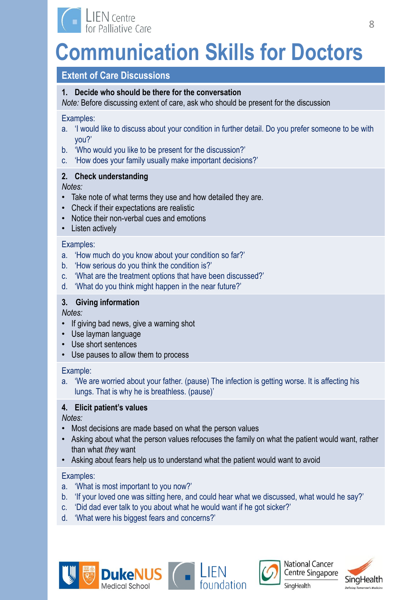

# **Extent of Care Discussions**

# **1. Decide who should be there for the conversation**

*Note:* Before discussing extent of care, ask who should be present for the discussion

#### Examples:

- a. 'I would like to discuss about your condition in further detail. Do you prefer someone to be with you?'
- b. 'Who would you like to be present for the discussion?'
- c. 'How does your family usually make important decisions?'

# **2. Check understanding**

### *Notes:*

- Take note of what terms they use and how detailed they are.
- Check if their expectations are realistic
- Notice their non-verbal cues and emotions
- Listen actively

### Examples:

- a. 'How much do you know about your condition so far?'
- b. 'How serious do you think the condition is?'
- c. 'What are the treatment options that have been discussed?'
- d. 'What do you think might happen in the near future?'

# **3. Giving information**

*Notes:*

- If giving bad news, give a warning shot
- Use layman language
- Use short sentences
- Use pauses to allow them to process

# Example:

a. 'We are worried about your father. (pause) The infection is getting worse. It is affecting his lungs. That is why he is breathless. (pause)'

# **4. Elicit patient's values**

*Notes:*

- Most decisions are made based on what the person values
- Asking about what the person values refocuses the family on what the patient would want, rather than what *they* want
- Asking about fears help us to understand what the patient would want to avoid

- a. 'What is most important to you now?'
- b. 'If your loved one was sitting here, and could hear what we discussed, what would he say?'
- c. 'Did dad ever talk to you about what he would want if he got sicker?'
- d. 'What were his biggest fears and concerns?'









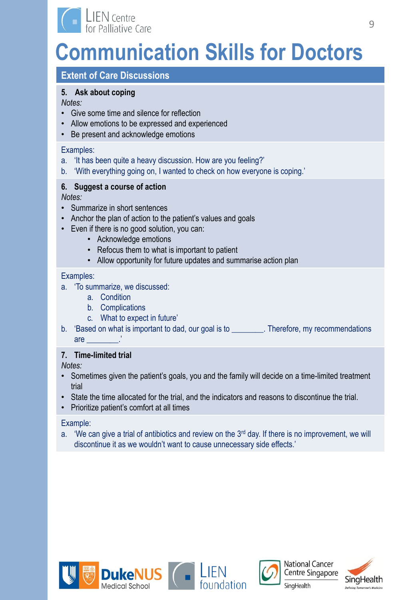

# **Extent of Care Discussions**

# **5. Ask about coping**

*Notes:*

- Give some time and silence for reflection
- Allow emotions to be expressed and experienced
- Be present and acknowledge emotions

### Examples:

- a. 'It has been quite a heavy discussion. How are you feeling?'
- b. 'With everything going on, I wanted to check on how everyone is coping.'

# **6. Suggest a course of action**

*Notes:*

- Summarize in short sentences
- Anchor the plan of action to the patient's values and goals
- Even if there is no good solution, you can:
	- Acknowledge emotions
	- Refocus them to what is important to patient
	- Allow opportunity for future updates and summarise action plan

### Examples:

- a. 'To summarize, we discussed:
	- a. Condition
	- b. Complications
	- c. What to expect in future'
- b. 'Based on what is important to dad, our goal is to \_\_\_\_\_\_\_\_. Therefore, my recommendations are  $\qquad \qquad \vdots$

# **7. Time-limited trial**

*Notes:*

- Sometimes given the patient's goals, you and the family will decide on a time-limited treatment trial
- State the time allocated for the trial, and the indicators and reasons to discontinue the trial.
- Prioritize patient's comfort at all times

#### Example:

a. 'We can give a trial of antibiotics and review on the  $3<sup>rd</sup>$  day. If there is no improvement, we will discontinue it as we wouldn't want to cause unnecessary side effects.'









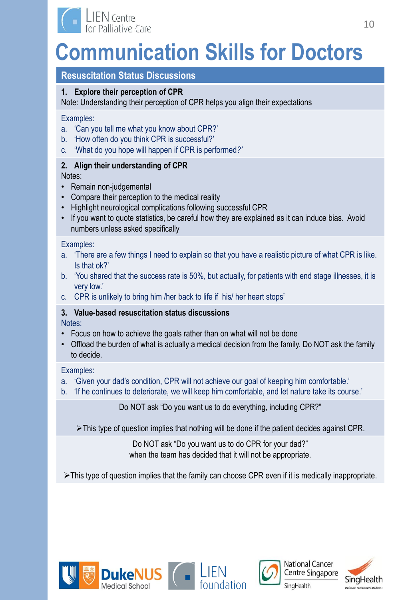

# **Resuscitation Status Discussions**

# **1. Explore their perception of CPR**

Note: Understanding their perception of CPR helps you align their expectations

### Examples:

- a. 'Can you tell me what you know about CPR?'
- b. 'How often do you think CPR is successful?'
- c. 'What do you hope will happen if CPR is performed*?'*

# **2. Align their understanding of CPR**

Notes:

- Remain non-judgemental
- Compare their perception to the medical reality
- Highlight neurological complications following successful CPR
- If you want to quote statistics, be careful how they are explained as it can induce bias. Avoid numbers unless asked specifically

### Examples:

- a. 'There are a few things I need to explain so that you have a realistic picture of what CPR is like. Is that ok?'
- b. 'You shared that the success rate is 50%, but actually, for patients with end stage illnesses, it is very low.'
- c. CPR is unlikely to bring him /her back to life if his/ her heart stops"

# **3. Value-based resuscitation status discussions**

Notes:

- Focus on how to achieve the goals rather than on what will not be done
- Offload the burden of what is actually a medical decision from the family. Do NOT ask the family to decide.

# Examples:

- a. 'Given your dad's condition, CPR will not achieve our goal of keeping him comfortable.'
- b. 'If he continues to deteriorate, we will keep him comfortable, and let nature take its course.'

Do NOT ask "Do you want us to do everything, including CPR?"

 $\triangleright$  This type of question implies that nothing will be done if the patient decides against CPR.

Do NOT ask "Do you want us to do CPR for your dad?" when the team has decided that it will not be appropriate.

 $\triangleright$  This type of question implies that the family can choose CPR even if it is medically inappropriate.











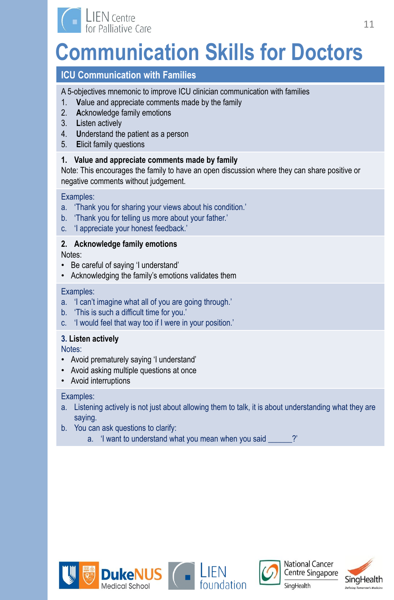

# **ICU Communication with Families**

A 5-objectives mnemonic to improve ICU clinician communication with families

- 1. **V**alue and appreciate comments made by the family
- 2. **A**cknowledge family emotions
- 3. **L**isten actively
- 4. **U**nderstand the patient as a person
- 5. **E**licit family questions

# **1. Value and appreciate comments made by family**

Note: This encourages the family to have an open discussion where they can share positive or negative comments without judgement.

# Examples:

- a. 'Thank you for sharing your views about his condition.'
- b. 'Thank you for telling us more about your father.'
- c. 'I appreciate your honest feedback.'

# **2. Acknowledge family emotions**

Notes:

- Be careful of saying 'I understand'
- Acknowledging the family's emotions validates them

# Examples:

- a. 'I can't imagine what all of you are going through.'
- b. 'This is such a difficult time for you.'
- c. 'I would feel that way too if I were in your position.'

# **3. Listen actively**

Notes:

- Avoid prematurely saying 'I understand'
- Avoid asking multiple questions at once
- Avoid interruptions

- a. Listening actively is not just about allowing them to talk, it is about understanding what they are saying.
- b. You can ask questions to clarify:
	- a. 'I want to understand what you mean when you said \_\_\_\_\_?'









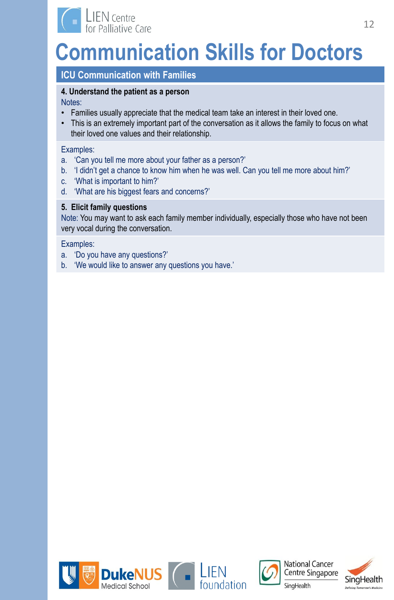

# **ICU Communication with Families**

### **4. Understand the patient as a person**

Notes:

- Families usually appreciate that the medical team take an interest in their loved one.
- This is an extremely important part of the conversation as it allows the family to focus on what their loved one values and their relationship.

#### Examples:

- a. 'Can you tell me more about your father as a person?'
- b. 'I didn't get a chance to know him when he was well. Can you tell me more about him?'
- c. 'What is important to him?'
- d. 'What are his biggest fears and concerns?'

# **5. Elicit family questions**

Note: You may want to ask each family member individually, especially those who have not been very vocal during the conversation.

- a. 'Do you have any questions?'
- b. 'We would like to answer any questions you have.'







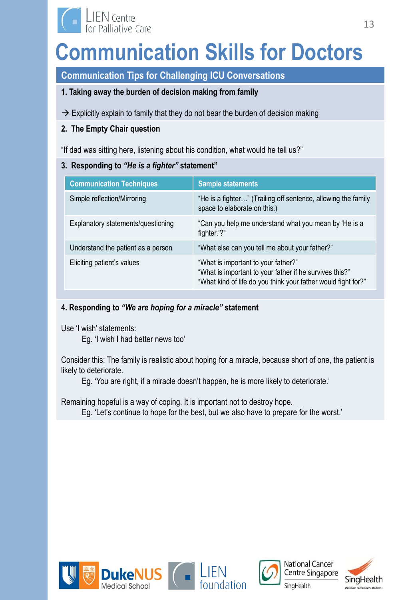

**Communication Tips for Challenging ICU Conversations** 

# **1. Taking away the burden of decision making from family**

 $\rightarrow$  Explicitly explain to family that they do not bear the burden of decision making

# **2. The Empty Chair question**

"If dad was sitting here, listening about his condition, what would he tell us?"

# **3. Responding to** *"He is a fighter"* **statement"**

| <b>Communication Techniques</b>    | <b>Sample statements</b>                                                                                                                                        |
|------------------------------------|-----------------------------------------------------------------------------------------------------------------------------------------------------------------|
| Simple reflection/Mirroring        | "He is a fighter" (Trailing off sentence, allowing the family<br>space to elaborate on this.)                                                                   |
| Explanatory statements/questioning | "Can you help me understand what you mean by 'He is a<br>fighter."?"                                                                                            |
| Understand the patient as a person | "What else can you tell me about your father?"                                                                                                                  |
| Eliciting patient's values         | "What is important to your father?"<br>"What is important to your father if he survives this?"<br>"What kind of life do you think your father would fight for?" |

# **4. Responding to** *"We are hoping for a miracle"* **statement**

Use 'I wish' statements:

Eg. 'I wish I had better news too'

Consider this: The family is realistic about hoping for a miracle, because short of one, the patient is likely to deteriorate.

Eg. 'You are right, if a miracle doesn't happen, he is more likely to deteriorate.'

Remaining hopeful is a way of coping. It is important not to destroy hope.

Eg. 'Let's continue to hope for the best, but we also have to prepare for the worst.'